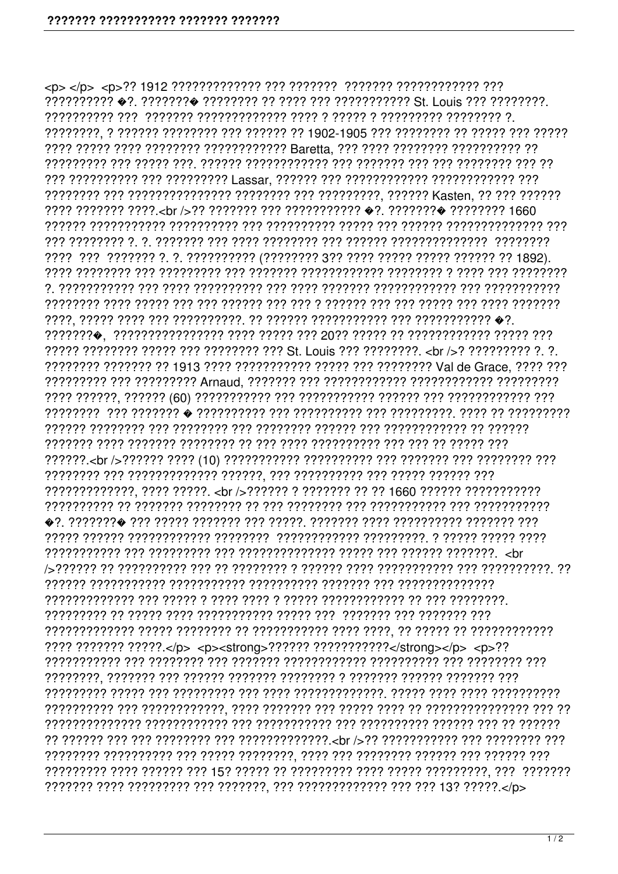יִרְרָ רְרַיְרְרְרְרְרְרְרְרָרְרָךְ הַרְרָרְרָ הַרְרָרְ הַרְרְרְרְרְרְרְרְרָרְ הַרְרְרְרְרְרְרְרָרְרְרְרְרְרְר רְרְיִרְיָרְ רְיִרְיָ רְרִיךְ רְיִרְיָךְ רְיִךְ רְיִרְיִרְיָךְ רְּיִךְ רְיִרְ רְיִרְיָךְ רְיִךְ רְיִרְיָךָ רְיִרְיָךָ לְיִרְיֹךָ בְּלֹוֹ ???? ??????? ?????.</p> <p><strong>?????? ???????????</strong></p> <p>??